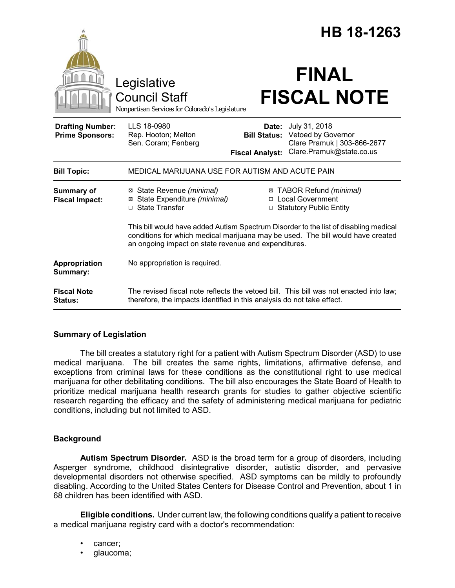|                                                   |                                                                                                                                                                                                                                 | HB 18-1263                                             |                                                                                                |
|---------------------------------------------------|---------------------------------------------------------------------------------------------------------------------------------------------------------------------------------------------------------------------------------|--------------------------------------------------------|------------------------------------------------------------------------------------------------|
|                                                   | Legislative<br><b>Council Staff</b><br>Nonpartisan Services for Colorado's Legislature                                                                                                                                          |                                                        | <b>FINAL</b><br><b>FISCAL NOTE</b>                                                             |
| <b>Drafting Number:</b><br><b>Prime Sponsors:</b> | LLS 18-0980<br>Rep. Hooton; Melton<br>Sen. Coram; Fenberg                                                                                                                                                                       | Date:<br><b>Bill Status:</b><br><b>Fiscal Analyst:</b> | July 31, 2018<br>Vetoed by Governor<br>Clare Pramuk   303-866-2677<br>Clare.Pramuk@state.co.us |
| <b>Bill Topic:</b>                                | MEDICAL MARIJUANA USE FOR AUTISM AND ACUTE PAIN                                                                                                                                                                                 |                                                        |                                                                                                |
| Summary of<br><b>Fiscal Impact:</b>               | ⊠ State Revenue (minimal)<br>State Expenditure (minimal)<br>⊠<br>□ State Transfer                                                                                                                                               |                                                        | ⊠ TABOR Refund (minimal)<br>□ Local Government<br>□ Statutory Public Entity                    |
|                                                   | This bill would have added Autism Spectrum Disorder to the list of disabling medical<br>conditions for which medical marijuana may be used. The bill would have created<br>an ongoing impact on state revenue and expenditures. |                                                        |                                                                                                |
| Appropriation<br>Summary:                         | No appropriation is required.                                                                                                                                                                                                   |                                                        |                                                                                                |
| <b>Fiscal Note</b><br><b>Status:</b>              | The revised fiscal note reflects the vetoed bill. This bill was not enacted into law;<br>therefore, the impacts identified in this analysis do not take effect.                                                                 |                                                        |                                                                                                |

### **Summary of Legislation**

The bill creates a statutory right for a patient with Autism Spectrum Disorder (ASD) to use medical marijuana. The bill creates the same rights, limitations, affirmative defense, and exceptions from criminal laws for these conditions as the constitutional right to use medical marijuana for other debilitating conditions. The bill also encourages the State Board of Health to prioritize medical marijuana health research grants for studies to gather objective scientific research regarding the efficacy and the safety of administering medical marijuana for pediatric conditions, including but not limited to ASD.

# **Background**

**Autism Spectrum Disorder.** ASD is the broad term for a group of disorders, including Asperger syndrome, childhood disintegrative disorder, autistic disorder, and pervasive developmental disorders not otherwise specified. ASD symptoms can be mildly to profoundly disabling. According to the United States Centers for Disease Control and Prevention, about 1 in 68 children has been identified with ASD.

**Eligible conditions.** Under current law, the following conditions qualify a patient to receive a medical marijuana registry card with a doctor's recommendation:

- cancer;
- glaucoma;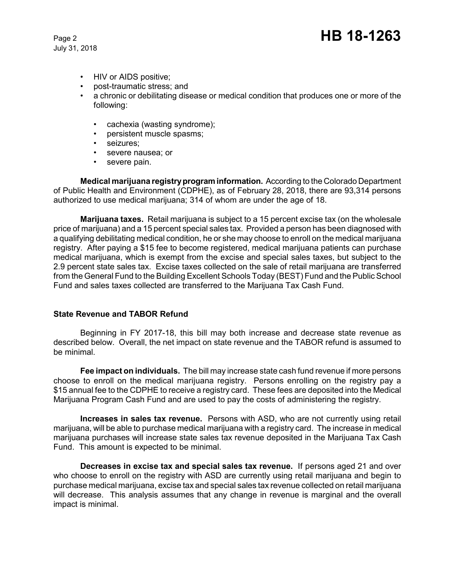July 31, 2018

- HIV or AIDS positive;
- post-traumatic stress; and
- a chronic or debilitating disease or medical condition that produces one or more of the following:
	- cachexia (wasting syndrome);
	- persistent muscle spasms;
	- seizures;
	- severe nausea; or
	- severe pain.

**Medical marijuana registry program information.** According to the Colorado Department of Public Health and Environment (CDPHE), as of February 28, 2018, there are 93,314 persons authorized to use medical marijuana; 314 of whom are under the age of 18.

**Marijuana taxes.** Retail marijuana is subject to a 15 percent excise tax (on the wholesale price of marijuana) and a 15 percent special sales tax. Provided a person has been diagnosed with a qualifying debilitating medical condition, he or she may choose to enroll on the medical marijuana registry. After paying a \$15 fee to become registered, medical marijuana patients can purchase medical marijuana, which is exempt from the excise and special sales taxes, but subject to the 2.9 percent state sales tax. Excise taxes collected on the sale of retail marijuana are transferred from the General Fund to the Building Excellent Schools Today (BEST) Fund and the Public School Fund and sales taxes collected are transferred to the Marijuana Tax Cash Fund.

# **State Revenue and TABOR Refund**

Beginning in FY 2017-18, this bill may both increase and decrease state revenue as described below. Overall, the net impact on state revenue and the TABOR refund is assumed to be minimal.

**Fee impact on individuals.** The bill may increase state cash fund revenue if more persons choose to enroll on the medical marijuana registry. Persons enrolling on the registry pay a \$15 annual fee to the CDPHE to receive a registry card. These fees are deposited into the Medical Marijuana Program Cash Fund and are used to pay the costs of administering the registry.

**Increases in sales tax revenue.** Persons with ASD, who are not currently using retail marijuana, will be able to purchase medical marijuana with a registry card. The increase in medical marijuana purchases will increase state sales tax revenue deposited in the Marijuana Tax Cash Fund. This amount is expected to be minimal.

**Decreases in excise tax and special sales tax revenue.** If persons aged 21 and over who choose to enroll on the registry with ASD are currently using retail marijuana and begin to purchase medical marijuana, excise tax and special sales tax revenue collected on retail marijuana will decrease. This analysis assumes that any change in revenue is marginal and the overall impact is minimal.